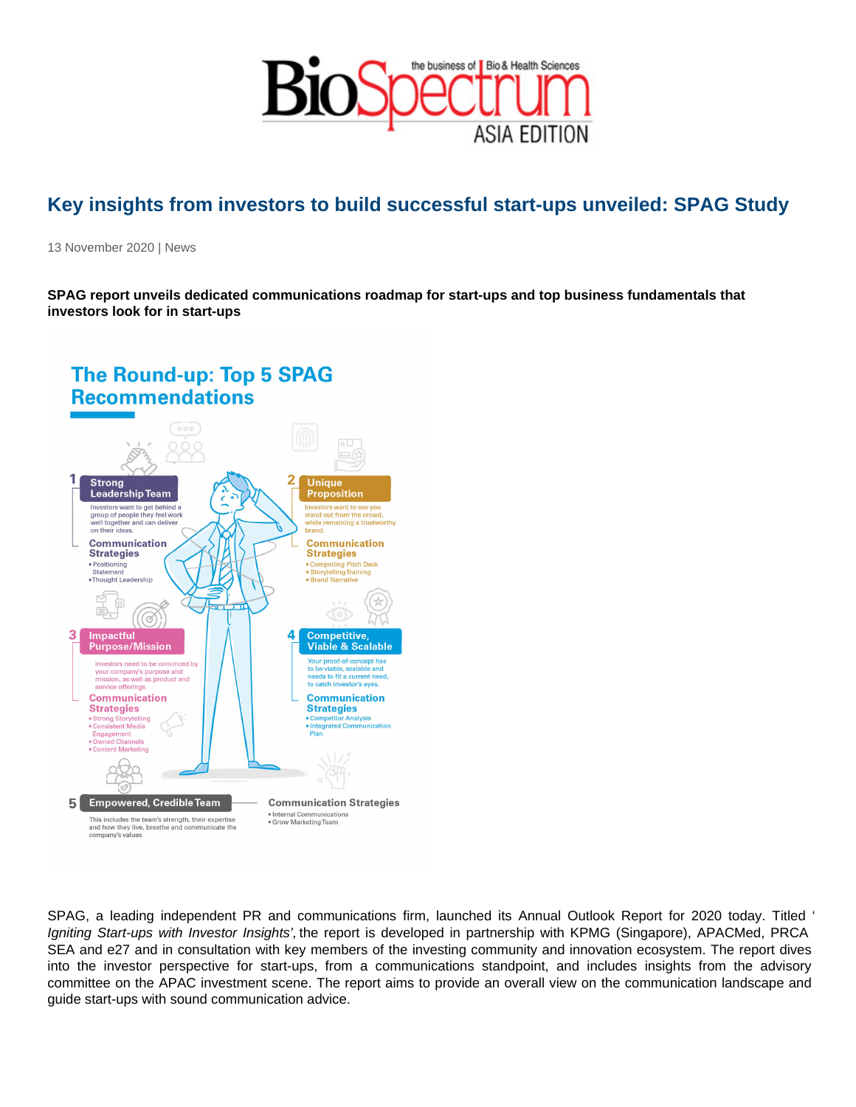## Key insights from investors to build successful start-ups unveiled: SPAG Study

13 November 2020 | News

SPAG report unveils dedicated communications roadmap for start-ups and top business fundamentals that investors look for in start-ups

SPAG, a leading independent PR and communications firm, launched its Annual Outlook Report for 2020 today. Titled ' Igniting Start-ups with Investor Insights', the report is developed in partnership with KPMG (Singapore), APACMed, PRCA SEA and e27 and in consultation with key members of the investing community and innovation ecosystem. The report dives into the investor perspective for start-ups, from a communications standpoint, and includes insights from the advisory committee on the APAC investment scene. The report aims to provide an overall view on the communication landscape and guide start-ups with sound communication advice.